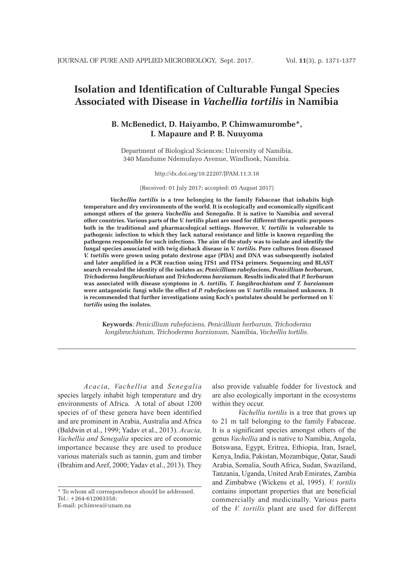# **Isolation and Identification of Culturable Fungal Species Associated with Disease in** *Vachellia tortilis* **in Namibia**

# **B. McBenedict, D. Haiyambo, P. Chimwamurombe\*, I. Mapaure and P. B. Nuuyoma**

Department of Biological Sciences; University of Namibia, 340 Mandume Ndemufayo Avenue, Windhoek, Namibia.

# http://dx.doi.org/10.22207/JPAM.11.3.18

(Received: 01 July 2017; accepted: 05 August 2017)

*Vachellia tortilis* **is a tree belonging to the family Fabaceae that inhabits high temperature and dry environments of the world. It is ecologically and economically significant amongst others of the genera** *Vachellia* **and** *Senegalia***. It is native to Namibia and several other countries. Various parts of the** *V. tortilis* **plant are used for different therapeutic purposes both in the traditional and pharmacological settings. However,** *V. tortilis* **is vulnerable to pathogenic infection to which they lack natural resistance and little is known regarding the pathogens responsible for such infections. The aim of the study was to isolate and identify the fungal species associated with twig dieback disease in** *V. tortilis.* **Pure cultures from diseased**  *V. tortilis* **were grown using potato dextrose agar (PDA) and DNA was subsequently isolated and later amplified in a PCR reaction using ITS1 and ITS4 primers. Sequencing and BLAST search revealed the identity of the isolates as;** *Penicillium rubefaciens, Penicillium herbarum, Trichoderma longibrachiatum* **and** *Trichoderma harzianum.* **Results indicated that** *P. herbarum*  **was associated with disease symptoms in** *A. tortilis, T. longibrachiatum and T. harzianum*  **were antagonistic fungi while the effect of** *P. rubefaciens* **on** *V. tortilis* **remained unknown. It is recommended that further investigations using Koch's postulates should be performed on** *V. tortilis* **using the isolates.**

**Keywords**: *Penicillium rubefaciens, Penicillium herbarum, Trichoderma longibrachiatum, Trichoderma harzianum,* Namibia, *Vachellia tortilis*.

*Acacia, Vachellia* and *Senegalia*  species largely inhabit high temperature and dry environments of Africa. A total of about 1200 species of of these genera have been identified and are prominent in Arabia, Australia and Africa (Baldwin et al., 1999; Yadav et al., 2013). *Acacia, Vachellia and Senegalia* species are of economic importance because they are used to produce various materials such as tannin, gum and timber (Ibrahim and Aref, 2000; Yadav et al., 2013). They

E-mail: pchimwa@unam.na

also provide valuable fodder for livestock and are also ecologically important in the ecosystems within they occur.

*Vachellia tortilis* is a tree that grows up to 21 m tall belonging to the family Fabaceae. It is a significant species amongst others of the genus *Vachellia* and is native to Namibia, Angola, Botswana, Egypt, Eritrea, Ethiopia, Iran, Israel, Kenya, India, Pakistan, Mozambique, Qatar, Saudi Arabia, Somalia, South Africa, Sudan, Swaziland, Tanzania, Uganda, United Arab Emirates, Zambia and Zimbabwe (Wickens et al, 1995). *V. tortilis* contains important properties that are beneficial commercially and medicinally. Various parts of the *V. tortilis* plant are used for different

<sup>\*</sup> To whom all correspondence should be addressed. Tel.: +264-612063358;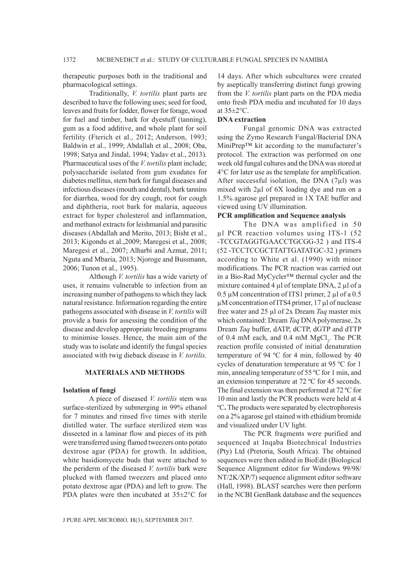therapeutic purposes both in the traditional and pharmacological settings.

Traditionally, *V. tortilis* plant parts are described to have the following uses; seed for food, leaves and fruits for fodder, flower for forage, wood for fuel and timber, bark for dyestuff (tanning), gum as a food additive, and whole plant for soil fertility (Fterich et al., 2012; Anderson, 1993; Baldwin et al., 1999; Abdallah et al., 2008; Oba, 1998; Satya and Jindal, 1994; Yadav et al., 2013). Pharmaceutical uses of the *V. tortilis* plant include; polysaccharide isolated from gum exudates for diabetes mellitus, stem bark for fungal diseases and infectious diseases (mouth and dental), bark tannins for diarrhea, wood for dry cough, root for cough and diphtheria, root bark for malaria, aqueous extract for hyper cholesterol and inflammation, and methanol extracts for leishmanial and parasitic diseases (Abdallah and Merito, 2013; Bisht et al., 2013; Kigondu et al.,2009; Maregesi et al., 2008; Maregesi et al., 2007; Alharbi and Azmat, 2011; Nguta and Mbaria, 2013; Njoroge and Bussmann, 2006; Tunon et al., 1995).

Although *V. tortilis* has a wide variety of uses, it remains vulnerable to infection from an increasing number of pathogens to which they lack natural resistance. Information regarding the entire pathogens associated with disease in *V. tortilis* will provide a basis for assessing the condition of the disease and develop appropriate breeding programs to minimise losses. Hence, the main aim of the study was to isolate and identify the fungal species associated with twig dieback disease in *V. tortilis.*

## **MATERIALS AND METHODS**

#### **Isolation of fungi**

A piece of diseased *V. tortilis* stem was surface-sterilized by submerging in 99% ethanol for 7 minutes and rinsed five times with sterile distilled water. The surface sterilized stem was dissected in a laminar flow and pieces of its pith were transferred using flamed tweezers onto potato dextrose agar (PDA) for growth. In addition, white basidiomycete buds that were attached to the periderm of the diseased *V. tortilis* bark were plucked with flamed tweezers and placed onto potato dextrose agar (PDA) and left to grow. The PDA plates were then incubated at  $35\pm2\degree$ C for

14 days. After which subcultures were created by aseptically transferring distinct fungi growing from the *V. tortilis* plant parts on the PDA media onto fresh PDA media and incubated for 10 days at 35±2°C.

# **DNA extraction**

Fungal genomic DNA was extracted using the Zymo Research Fungal/Bacterial DNA MiniPrep™ kit according to the manufacturer's protocol. The extraction was performed on one week old fungal cultures and the DNA was stored at 4°C for later use as the template for amplification. After successful isolation, the DNA  $(7\mu l)$  was mixed with 2µl of 6X loading dye and run on a 1.5% agarose gel prepared in 1X TAE buffer and viewed using UV illumination.

# **PCR amplification and Sequence analysis**

The DNA was amplified in 50 µl PCR reaction volumes using ITS-1 (52 -TCCGTAGGTGAACCTGCGG-32 ) and ITS-4 (52 -TCCTCCGCTTATTGATATGC-32 ) primers according to White et al. (1990) with minor modifications. The PCR reaction was carried out in a Bio-Rad MyCycler™ thermal cycler and the mixture contained 4  $\mu$ l of template DNA, 2  $\mu$ l of a 0.5 µM concentration of ITS1 primer, 2 µl of a 0.5 µM concentration of ITS4 primer, 17 µl of nuclease free water and 25 µl of 2x Dream *Taq* master mix which contained: Dream *Taq* DNA polymerase, 2x Dream *Taq* buffer, dATP, dCTP, dGTP and dTTP of 0.4 mM each, and 0.4 mM  $MgCl_2$ . The PCR reaction profile consisted of initial denaturation temperature of 94 ºC for 4 min, followed by 40 cycles of denaturation temperature at 95 ºC for 1 min, annealing temperature of 55 ºC for 1 min, and an extension temperature at 72 ºC for 45 seconds. The final extension was then performed at 72 ºC for 10 min and lastly the PCR products were held at 4 ºC**.** The products were separated by electrophoresis on a 2% agarose gel stained with ethidium bromide and visualized under UV light.

The PCR fragments were purified and sequenced at Inqaba Biotechnical Industries (Pty) Ltd (Pretoria, South Africa). The obtained sequences were then edited in BioEdit (Biological Sequence Alignment editor for Windows 99/98/ NT/2K/XP/7) sequence alignment editor software (Hall, 1998). BLAST searches were then perform in the NCBI GenBank database and the sequences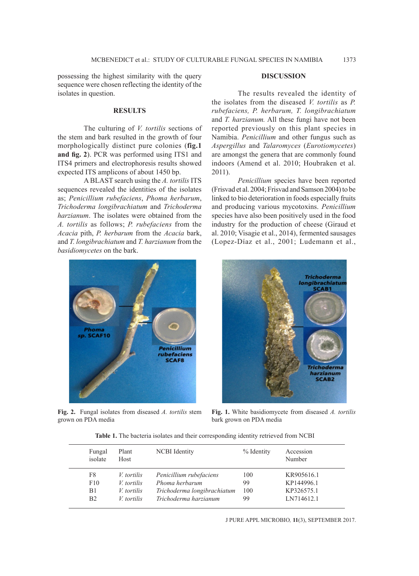possessing the highest similarity with the query sequence were chosen reflecting the identity of the isolates in question.

#### **RESULTS**

The culturing of *V. tortilis* sections of the stem and bark resulted in the growth of four morphologically distinct pure colonies (**fig.1 and fig. 2**). PCR was performed using ITS1 and ITS4 primers and electrophoresis results showed expected ITS amplicons of about 1450 bp.

A BLAST search using the *A. tortilis* ITS sequences revealed the identities of the isolates as; *Penicillium rubefaciens*, *Phoma herbarum*, *Trichoderma longibrachiatum* and *Trichoderma harzianum*. The isolates were obtained from the *A. tortilis* as follows; *P. rubefaciens* from the *Acacia* pith, *P. herbarum* from the *Acacia* bark, and *T. longibrachiatum* and *T. harzianum* from the *basidiomycetes* on the bark.

# SCAF10 Penicillium rubefaciens **SCAF8**

**Fig. 2.** Fungal isolates from diseased *A. tortilis* stem grown on PDA media

## **DISCUSSION**

The results revealed the identity of the isolates from the diseased *V. tortilis* as *P. rubefaciens, P. herbarum, T. longibrachiatum*  and *T. harzianum.* All these fungi have not been reported previously on this plant species in Namibia. *Penicillium* and other fungus such as *Aspergillus* and *Talaromyces* (*Eurotiomycetes*) are amongst the genera that are commonly found indoors (Amend et al. 2010; Houbraken et al. 2011).

*Penicillium* species have been reported (Frisvad et al. 2004; Frisvad and Samson 2004) to be linked to bio deterioration in foods especially fruits and producing various mycotoxins. *Penicillium* species have also been positively used in the food industry for the production of cheese (Giraud et al. 2010; Visagie et al., 2014), fermented sausages (Lopez-Díaz et al., 2001; Ludemann et al.,



**Fig. 1.** White basidiomycete from diseased *A. tortilis*  bark grown on PDA media

|  |  | <b>Table 1.</b> The bacteria isolates and their corresponding identity retrieved from NCBI |  |  |
|--|--|--------------------------------------------------------------------------------------------|--|--|
|  |  |                                                                                            |  |  |

| Fungal<br>isolate | Plant<br>Host     | <b>NCBI</b> Identity        | % Identity | Accession<br>Number |
|-------------------|-------------------|-----------------------------|------------|---------------------|
| F8                | <i>V</i> tortilis | Penicillium rubefaciens     | 100        | KR905616.1          |
| F10               | V tortilis        | Phoma herbarum              | 99         | KP144996.1          |
| B1                | <i>V</i> tortilis | Trichoderma longibrachiatum | 100        | KP326575.1          |
| B <sub>2</sub>    | V tortilis        | Trichoderma harzianum       | 99         | LN714612.1          |

J PURE APPL MICROBIO*,* **11**(3), SEPTEMBER 2017.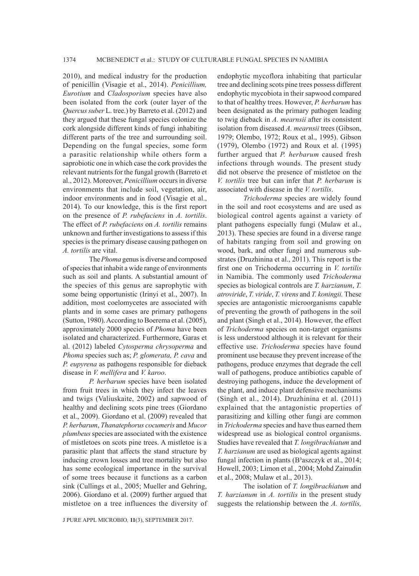2010), and medical industry for the production of penicillin (Visagie et al., 2014). *Penicillium, Eurotium* and *Cladosporium* species have also been isolated from the cork (outer layer of the *Quercus suber* L. tree.) by Barreto et al. (2012) and they argued that these fungal species colonize the cork alongside different kinds of fungi inhabiting different parts of the tree and surrounding soil. Depending on the fungal species, some form a parasitic relationship while others form a saprobiotic one in which case the cork provides the relevant nutrients for the fungal growth (Barreto et al., 2012). Moreover, *Penicillium* occurs in diverse environments that include soil, vegetation, air, indoor environments and in food (Visagie et al., 2014). To our knowledge, this is the first report on the presence of *P. rubefaciens* in *A. tortilis*. The effect of *P. rubefaciens* on *A. tortilis* remains unknown and further investigations to assess if this species is the primary disease causing pathogen on *A. tortilis* are vital.

The *Phoma* genus is diverse and composed of species that inhabit a wide range of environments such as soil and plants. A substantial amount of the species of this genus are saprophytic with some being opportunistic (Irinyi et al., 2007). In addition, most coelomycetes are associated with plants and in some cases are primary pathogens (Sutton, 1980). According to Boerema et al. (2005), approximately 2000 species of *Phoma* have been isolated and characterized. Furthermore, Garas et al. (2012) labeled *Cytosperma chrysoperma* and *Phoma* species such as; *P. glomerata, P. cava* and *P. eupyrena* as pathogens responsible for dieback disease in *V. mellifera* and *V. karoo*.

*P. herbarum* species have been isolated from fruit trees in which they infect the leaves and twigs (Valiuskaite, 2002) and sapwood of healthy and declining scots pine trees (Giordano et al., 2009). Giordano et al. (2009) revealed that *P. herbarum*, *Thanatephorus cocumeris* and *Mucor plumbeus* species are associated with the existence of mistletoes on scots pine trees. A mistletoe is a parasitic plant that affects the stand structure by inducing crown losses and tree mortality but also has some ecological importance in the survival of some trees because it functions as a carbon sink (Cullings et al., 2005; Mueller and Gehring, 2006). Giordano et al. (2009) further argued that mistletoe on a tree influences the diversity of endophytic mycoflora inhabiting that particular tree and declining scots pine trees possess different endophytic mycobiota in their sapwood compared to that of healthy trees. However, *P. herbarum* has been designated as the primary pathogen leading to twig dieback in *A. mearnsii* after its consistent isolation from diseased *A. mearnsii* trees (Gibson, 1979; Olembo, 1972; Roux et al., 1995). Gibson (1979), Olembo (1972) and Roux et al. (1995) further argued that *P. herbarum* caused fresh infections through wounds. The present study did not observe the presence of mistletoe on the *V. tortilis* tree but can infer that *P. herbarum* is associated with disease in the *V. tortilis*.

*Trichoderma* species are widely found in the soil and root ecosystems and are used as biological control agents against a variety of plant pathogens especially fungi (Mulaw et al., 2013). These species are found in a diverse range of habitats ranging from soil and growing on wood, bark, and other fungi and numerous substrates (Druzhinina et al., 2011). This report is the first one on Trichoderma occurring in *V. tortilis* in Namibia. The commonly used *Trichoderma* species as biological controls are *T. harzianum*, *T. atroviride*, *T. viride*, *T. virens* and *T. koningii.* These species are antagonistic microorganisms capable of preventing the growth of pathogens in the soil and plant (Singh et al., 2014). However, the effect of *Trichoderma* species on non-target organisms is less understood although it is relevant for their effective use. *Trichoderma* species have found prominent use because they prevent increase of the pathogens, produce enzymes that degrade the cell wall of pathogens, produce antibiotics capable of destroying pathogens, induce the development of the plant, and induce plant defensive mechanisms (Singh et al., 2014). Druzhinina et al. (2011) explained that the antagonistic properties of parasitizing and killing other fungi are common in *Trichoderma* species and have thus earned them widespread use as biological control organisms. Studies have revealed that *T. longibrachiatum* and *T. harzianum* are used as biological agents against fungal infection in plants  $(B^3$ aszczyk et al., 2014; Howell, 2003; Limon et al., 2004; Mohd Zainudin et al., 2008; Mulaw et al., 2013).

The isolation of *T. longibrachiatum* and *T. harzianum* in *A. tortilis* in the present study suggests the relationship between the *A. tortilis,* 

J PURE APPL MICROBIO*,* **11**(3), SEPTEMBER 2017.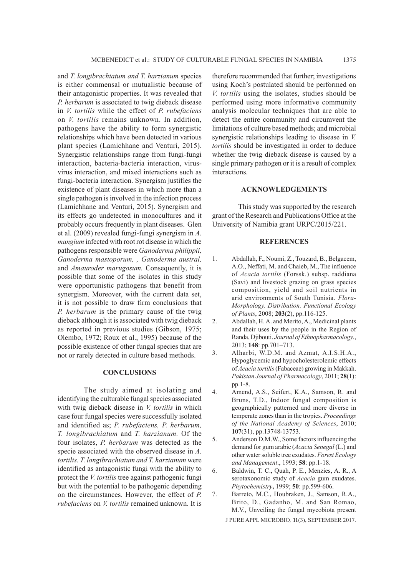and *T. longibrachiatum and T. harzianum* species is either commensal or mutualistic because of their antagonistic properties. It was revealed that *P. herbarum* is associated to twig dieback disease in *V. tortilis* while the effect of *P. rubefaciens* on *V. tortilis* remains unknown. In addition, pathogens have the ability to form synergistic relationships which have been detected in various plant species (Lamichhane and Venturi, 2015). Synergistic relationships range from fungi-fungi interaction, bacteria-bacteria interaction, virusvirus interaction, and mixed interactions such as fungi-bacteria interaction. Synergism justifies the existence of plant diseases in which more than a single pathogen is involved in the infection process (Lamichhane and Venturi, 2015). Synergism and its effects go undetected in monocultures and it probably occurs frequently in plant diseases. Glen et al. (2009) revealed fungi-fungi synergism in *A. mangium* infected with root rot disease in which the pathogens responsible were *Ganoderma philippii, Ganoderma mastoporum, , Ganoderma austral,*  and *Amauroder marugosum.* Consequently, it is possible that some of the isolates in this study were opportunistic pathogens that benefit from synergism. Moreover, with the current data set, it is not possible to draw firm conclusions that *P. herbarum* is the primary cause of the twig dieback although it is associated with twig dieback as reported in previous studies (Gibson, 1975; Olembo, 1972; Roux et al., 1995) because of the possible existence of other fungal species that are not or rarely detected in culture based methods.

### **CONCLUSIONS**

The study aimed at isolating and identifying the culturable fungal species associated with twig dieback disease in *V. tortilis* in which case four fungal species were successfully isolated and identified as; *P. rubefaciens, P. herbarum, T. longibrachiatum* and *T. harzianum.* Of the four isolates, *P. herbarum* was detected as the specie associated with the observed disease in *A. tortilis. T. longibrachiatum and T. harzianum* were identified as antagonistic fungi with the ability to protect the *V. tortilis* tree against pathogenic fungi but with the potential to be pathogenic depending on the circumstances. However, the effect of *P. rubefaciens* on *V. tortilis* remained unknown. It is

therefore recommended that further; investigations using Koch's postulated should be performed on *V. tortilis* using the isolates, studies should be performed using more informative community analysis molecular techniques that are able to detect the entire community and circumvent the limitations of culture based methods; and microbial synergistic relationships leading to disease in *V. tortilis* should be investigated in order to deduce whether the twig dieback disease is caused by a single primary pathogen or it is a result of complex interactions.

#### **ACKNOWLEDGEMENTS**

This study was supported by the research grant of the Research and Publications Office at the University of Namibia grant URPC/2015/221.

#### **REFERENCES**

- 1. Abdallah, F., Noumi, Z., Touzard, B., Belgacem, A.O., Neffati, M. and Chaieb, M., The influence of *Acacia tortilis* (Forssk.) subsp. raddiana (Savi) and livestock grazing on grass species composition, yield and soil nutrients in arid environments of South Tunisia. *Flora-Morphology, Distribution, Functional Ecology of Plants*, 2008; **203**(2), pp.116-125.
- 2. Abdallah, H. A. and Merito, A., Medicinal plants and their uses by the people in the Region of Randa, Djibouti. *Journal of Ethnopharmacology*., 2013; **148**: pp.701–713.
- 3. Alharbi, W.D.M. and Azmat, A.I.S.H.A., Hypoglycemic and hypocholesterolemic effects of *Acacia tortilis* (Fabaceae) growing in Makkah. *Pakistan Journal of Pharmacology*, 2011; **28**(1): pp.1-8.
- 4. Amend, A.S., Seifert, K.A., Samson, R. and Bruns, T.D., Indoor fungal composition is geographically patterned and more diverse in temperate zones than in the tropics. *Proceedings of the National Academy of Sciences*, 2010; **107**(31), pp.13748-13753.
- 5. Anderson D.M.W., Some factors influencing the demand for gum arabic (*Acacia Senegal* (L.) and other water soluble tree exudates. *Forest Ecology and Management*., 1993; **58**: pp.1-18.
- 6. Baldwin, T. C., Quah, P. E., Menzies, A. R., A serotaxonomic study of *Acacia* gum exudates. *Phytochemistry***,** 1999; **50**: pp.599-606.
- J PURE APPL MICROBIO*,* **11**(3), SEPTEMBER 2017. 7. Barreto, M.C., Houbraken, J., Samson, R.A., Brito, D., Gadanho, M. and San Romao, M.V., Unveiling the fungal mycobiota present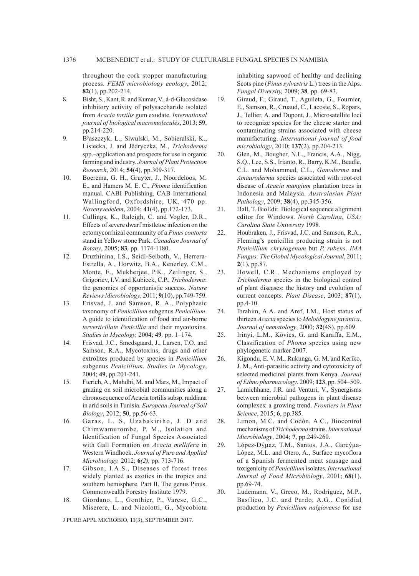throughout the cork stopper manufacturing process. *FEMS microbiology ecology*, 2012; **82**(1), pp.202-214.

- 8. Bisht, S., Kant, R. and Kumar, V., á-d-Glucosidase inhibitory activity of polysaccharide isolated from *Acacia tortilis* gum exudate. *International journal of biological macromolecules*, 2013; **59**, pp.214-220.
- 9. B³aszczyk, L., Siwulski, M., Sobieralski, K., Lisiecka, J. and Jêdryczka, M., *Trichoderma* spp.–application and prospects for use in organic farming and industry. *Journal of Plant Protection Research*, 2014; **54**(4), pp.309-317.
- 10. Boerema, G. H., Gruyter, J., Noordeloos, M. E., and Hamers M. E. C., *Phoma* identification manual. CABI Publishing. CAB International Wallingford, Oxfordshire, UK. 470 pp. *Novenyvedelem*, 2004; **41**(4), pp.172-173.
- 11. Cullings, K., Raleigh, C. and Vogler, D.R., Effects of severe dwarf mistletoe infection on the ectomycorrhizal community of a *Pinus contorta* stand in Yellow stone Park. *Canadian Journal of Botany*, 2005; **83***,* pp. 1174-1180.
- 12. Druzhinina, I.S., Seidl-Seiboth, V., Herrera-Estrella, A., Horwitz, B.A., Kenerley, C.M., Monte, E., Mukherjee, P.K., Zeilinger, S., Grigoriev, I.V. and Kubicek, C.P., *Trichoderma*: the genomics of opportunistic success. *Nature Reviews Microbiology*, 2011; **9**(10), pp.749-759.
- 13. Frisvad, J. and Samson, R. A., Polyphasic taxonomy of *Penicillium* subgenus *Penicillium*. A guide to identification of food and air-borne *terverticillate Penicillia* and their mycotoxins. *Studies in Mycology,* 2004; **49***,* pp. 1–174.
- 14. Frisvad, J.C., Smedsgaard, J., Larsen, T.O. and Samson, R.A., Mycotoxins, drugs and other extrolites produced by species in *Penicillium* subgenus *Penicillium*. *Studies in Mycology*, 2004; **49**, pp.201-241.
- 15. Fterich, A., Mahdhi, M. and Mars, M., Impact of grazing on soil microbial communities along a chronosequence of Acacia tortilis subsp. raddiana in arid soils in Tunisia. *European Journal of Soil Biology*, 2012; **50**, pp.56-63.
- 16. Garas, L. S, Uzabakiriho, J. D and Chimwamurombe, P. M., Isolation and Identification of Fungal Species Associated with Gall Formation on *Acacia mellifera* in Western Windhoek. *Journal of Pure and Applied Microbiology,* 2012; **6***(2),* pp. 713-716.
- 17. Gibson, I.A.S., Diseases of forest trees widely planted as exotics in the tropics and southern hemisphere. Part II. The genus Pinus. Commonwealth Forestry Institute 1979.
- 18. Giordano, L., Gonthier, P., Varese, G.C., Miserere, L. and Nicolotti, G., Mycobiota

J PURE APPL MICROBIO*,* **11**(3), SEPTEMBER 2017.

inhabiting sapwood of healthy and declining Scots pine (*Pinus sylvestris* L.) trees in the Alps. *Fungal Diversity,* 2009; **38***,* pp. 69-83.

- 19. Giraud, F., Giraud, T., Aguileta, G., Fournier, E., Samson, R., Cruaud, C., Lacoste, S., Ropars, J., Tellier, A. and Dupont, J., Microsatellite loci to recognize species for the cheese starter and contaminating strains associated with cheese manufacturing. *International journal of food microbiology*, 2010; **137**(2), pp.204-213.
- 20. Glen, M., Bougher, N.L., Francis, A.A., Nigg, S.Q., Lee, S.S., Irianto, R., Barry, K.M., Beadle, C.L. and Mohammed, C.L., *Ganoderma* and *Amauroderma* species associated with root-rot disease of *Acacia mangium* plantation trees in Indonesia and Malaysia. *Australasian Plant Pathology*, 2009; **38**(4), pp.345-356.
- 21. Hall, T. BioEdit. Biological sequence alignment editor for Windows. *North Carolina, USA: Carolina State University* 1998*.*
- 22. Houbraken, J., Frisvad, J.C. and Samson, R.A., Fleming's penicillin producing strain is not *Penicillium chrysogenum* but *P. rubens*. *IMA Fungus: The Global Mycological Journal*, 2011; **2**(1), pp.87.
- 23. Howell, C.R., Mechanisms employed by *Trichoderma* species in the biological control of plant diseases: the history and evolution of current concepts. *Plant Disease*, 2003; **87**(1), pp.4-10.
- 24. Ibrahim, A.A. and Aref, I.M., Host status of thirteen *Acacia* species to *Meloidogyne javanica*. *Journal of nematology*, 2000; **32**(4S), pp.609.
- 25. Irinyi, L.M., Kövics, G. and Karaffa, E.M., Classification of *Phoma* species using new phylogenetic marker 2007.
- 26. Kigondu, E. V. M., Rukunga, G. M. and Keriko, J. M., Anti-parasitic activity and cytotoxicity of selected medicinal plants from Kenya. *Journal of Ethno pharmacology*. 2009; **123**, pp. 504–509.
- 27. Lamichhane, J.R. and Venturi, V., Synergisms between microbial pathogens in plant disease complexes: a growing trend. *Frontiers in Plant Science*, 2015; **6**, pp.385.
- 28. Limon, M.C. and Codón, A.C., Biocontrol mechanisms of *Trichoderma* strains. *International Microbiology*, 2004; **7**, pp.249-260.
- 29. López-Dýµaz, T.M., Santos, J.A., Garcýµa-López, M.L. and Otero, A., Surface mycoflora of a Spanish fermented meat sausage and toxigenicity of *Penicillium* isolates. *International Journal of Food Microbiology*, 2001; **68**(1), pp.69-74.
- 30. Ludemann, V., Greco, M., Rodríguez, M.P., Basílico, J.C. and Pardo, A.G., Conidial production by *Penicillium nalgiovense* for use